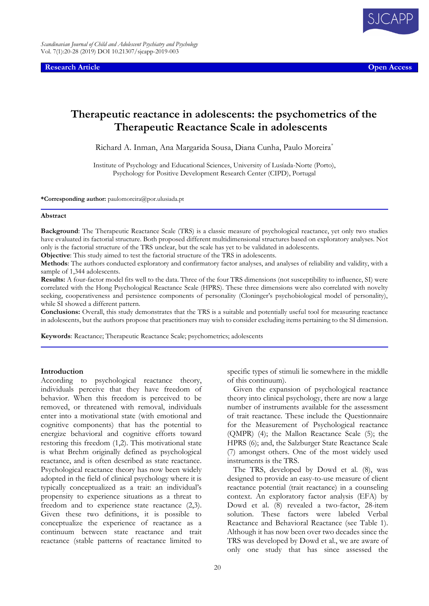**Research Article Open Access**

# **Therapeutic reactance in adolescents: the psychometrics of the Therapeutic Reactance Scale in adolescents**

Richard A. Inman, Ana Margarida Sousa, Diana Cunha, Paulo Moreira\*

Institute of Psychology and Educational Sciences, University of Lusíada-Norte (Porto), Psychology for Positive Development Research Center (CIPD), Portugal

**\*Corresponding author:** paulomoreira@por.ulusiada.pt

### **Abstract**

**Background**: The Therapeutic Reactance Scale (TRS) is a classic measure of psychological reactance, yet only two studies have evaluated its factorial structure. Both proposed different multidimensional structures based on exploratory analyses. Not only is the factorial structure of the TRS unclear, but the scale has yet to be validated in adolescents.

**Objective**: This study aimed to test the factorial structure of the TRS in adolescents.

**Methods**: The authors conducted exploratory and confirmatory factor analyses, and analyses of reliability and validity, with a sample of 1,344 adolescents.

**Results:** A four-factor model fits well to the data. Three of the four TRS dimensions (not susceptibility to influence, SI) were correlated with the Hong Psychological Reactance Scale (HPRS). These three dimensions were also correlated with novelty seeking, cooperativeness and persistence components of personality (Cloninger's psychobiological model of personality), while SI showed a different pattern.

**Conclusions:** Overall, this study demonstrates that the TRS is a suitable and potentially useful tool for measuring reactance in adolescents, but the authors propose that practitioners may wish to consider excluding items pertaining to the SI dimension.

**Keywords**: Reactance; Therapeutic Reactance Scale; psychometrics; adolescents

### **Introduction**

According to psychological reactance theory, individuals perceive that they have freedom of behavior. When this freedom is perceived to be removed, or threatened with removal, individuals enter into a motivational state (with emotional and cognitive components) that has the potential to energize behavioral and cognitive efforts toward restoring this freedom (1,2). This motivational state is what Brehm originally defined as psychological reactance, and is often described as state reactance. Psychological reactance theory has now been widely adopted in the field of clinical psychology where it is typically conceptualized as a trait: an individual's propensity to experience situations as a threat to freedom and to experience state reactance (2,3). Given these two definitions, it is possible to conceptualize the experience of reactance as a continuum between state reactance and trait reactance (stable patterns of reactance limited to

specific types of stimuli lie somewhere in the middle of this continuum).

Given the expansion of psychological reactance theory into clinical psychology, there are now a large number of instruments available for the assessment of trait reactance. These include the Questionnaire for the Measurement of Psychological reactance (QMPR) (4); the Mallon Reactance Scale (5); the HPRS (6); and, the Salzburger State Reactance Scale (7) amongst others. One of the most widely used instruments is the TRS.

The TRS, developed by Dowd et al. (8), was designed to provide an easy-to-use measure of client reactance potential (trait reactance) in a counseling context. An exploratory factor analysis (EFA) by Dowd et al. (8) revealed a two-factor, 28-item solution. These factors were labeled Verbal Reactance and Behavioral Reactance (see Table 1). Although it has now been over two decades since the TRS was developed by Dowd et al., we are aware of only one study that has since assessed the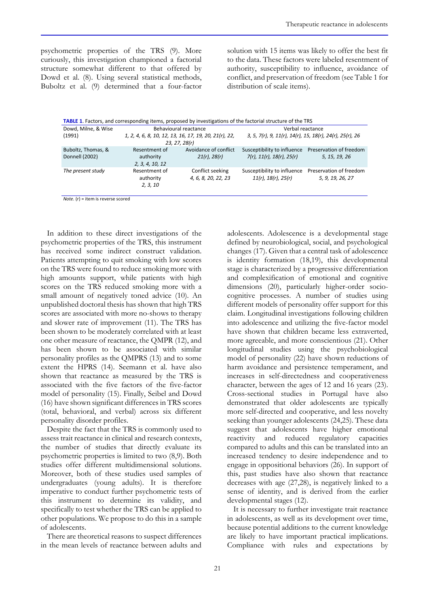psychometric properties of the TRS (9). More curiously, this investigation championed a factorial structure somewhat different to that offered by Dowd et al. (8). Using several statistical methods, Buboltz et al. (9) determined that a four-factor solution with 15 items was likely to offer the best fit to the data. These factors were labeled resentment of authority, susceptibility to influence, avoidance of conflict, and preservation of freedom (see Table 1 for distribution of scale items).

| <b>TABLE 1.</b> Factors, and corresponding items, proposed by investigations of the factorial structure of the TRS |                                                                        |                                            |                                                                     |                                             |  |  |  |
|--------------------------------------------------------------------------------------------------------------------|------------------------------------------------------------------------|--------------------------------------------|---------------------------------------------------------------------|---------------------------------------------|--|--|--|
| Dowd, Milne, & Wise                                                                                                | Behavioural reactance                                                  |                                            | Verbal reactance                                                    |                                             |  |  |  |
| (1991)                                                                                                             | 1, 2, 4, 6, 8, 10, 12, 13, 16, 17, 19, 20, 21(r), 22,<br>23, 27, 28(r) |                                            | 3, 5, 7(r), 9, 11(r), 14(r), 15, 18(r), 24(r), 25(r), 26            |                                             |  |  |  |
| Buboltz, Thomas, &<br>Donnell (2002)                                                                               | Resentment of<br>authority<br>2, 3, 4, 10, 12                          | Avoidance of conflict<br>$21(r)$ , $28(r)$ | Susceptibility to influence<br>$7(r)$ , $11(r)$ , $18(r)$ , $25(r)$ | Preservation of freedom<br>5, 15, 19, 26    |  |  |  |
| The present study                                                                                                  | Resentment of<br>authority<br>2, 3, 10                                 | Conflict seeking<br>4, 6, 8, 20, 22, 23    | Susceptibility to influence<br>$11(r)$ , $18(r)$ , $25(r)$          | Preservation of freedom<br>5, 9, 19, 26, 27 |  |  |  |

*Note.* (r) = item is reverse scored

In addition to these direct investigations of the psychometric properties of the TRS, this instrument has received some indirect construct validation. Patients attempting to quit smoking with low scores on the TRS were found to reduce smoking more with high amounts support, while patients with high scores on the TRS reduced smoking more with a small amount of negatively toned advice (10). An unpublished doctoral thesis has shown that high TRS scores are associated with more no-shows to therapy and slower rate of improvement (11). The TRS has been shown to be moderately correlated with at least one other measure of reactance, the QMPR (12), and has been shown to be associated with similar personality profiles as the QMPRS (13) and to some extent the HPRS (14). Seemann et al. have also shown that reactance as measured by the TRS is associated with the five factors of the five-factor model of personality (15). Finally, Seibel and Dowd (16) have shown significant differences in TRS scores (total, behavioral, and verbal) across six different personality disorder profiles.

Despite the fact that the TRS is commonly used to assess trait reactance in clinical and research contexts, the number of studies that directly evaluate its psychometric properties is limited to two (8,9). Both studies offer different multidimensional solutions. Moreover, both of these studies used samples of undergraduates (young adults). It is therefore imperative to conduct further psychometric tests of this instrument to determine its validity, and specifically to test whether the TRS can be applied to other populations. We propose to do this in a sample of adolescents.

There are theoretical reasons to suspect differences in the mean levels of reactance between adults and adolescents. Adolescence is a developmental stage defined by neurobiological, social, and psychological changes (17). Given that a central task of adolescence is identity formation (18,19), this developmental stage is characterized by a progressive differentiation and complexification of emotional and cognitive dimensions (20), particularly higher-order sociocognitive processes. A number of studies using different models of personality offer support for this claim. Longitudinal investigations following children into adolescence and utilizing the five-factor model have shown that children became less extraverted, more agreeable, and more conscientious (21). Other longitudinal studies using the psychobiological model of personality (22) have shown reductions of harm avoidance and persistence temperament, and increases in self-directedness and cooperativeness character, between the ages of 12 and 16 years (23). Cross-sectional studies in Portugal have also demonstrated that older adolescents are typically more self-directed and cooperative, and less novelty seeking than younger adolescents (24,25). These data suggest that adolescents have higher emotional reactivity and reduced regulatory capacities compared to adults and this can be translated into an increased tendency to desire independence and to engage in oppositional behaviors (26). In support of this, past studies have also shown that reactance decreases with age (27,28), is negatively linked to a sense of identity, and is derived from the earlier developmental stages (12).

It is necessary to further investigate trait reactance in adolescents, as well as its development over time, because potential additions to the current knowledge are likely to have important practical implications. Compliance with rules and expectations by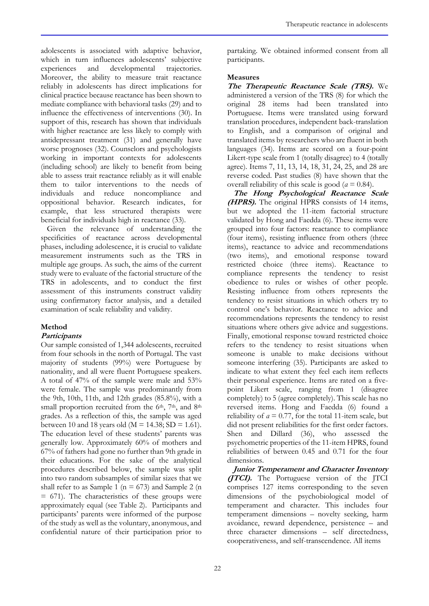adolescents is associated with adaptive behavior, which in turn influences adolescents' subjective experiences and developmental trajectories. Moreover, the ability to measure trait reactance reliably in adolescents has direct implications for clinical practice because reactance has been shown to mediate compliance with behavioral tasks (29) and to influence the effectiveness of interventions (30). In support of this, research has shown that individuals with higher reactance are less likely to comply with antidepressant treatment (31) and generally have worse prognoses (32). Counselors and psychologists working in important contexts for adolescents (including school) are likely to benefit from being able to assess trait reactance reliably as it will enable them to tailor interventions to the needs of individuals and reduce noncompliance and oppositional behavior. Research indicates, for example, that less structured therapists were beneficial for individuals high in reactance (33).

Given the relevance of understanding the specificities of reactance across developmental phases, including adolescence, it is crucial to validate measurement instruments such as the TRS in multiple age groups. As such, the aims of the current study were to evaluate of the factorial structure of the TRS in adolescents, and to conduct the first assessment of this instruments construct validity using confirmatory factor analysis, and a detailed examination of scale reliability and validity.

# **Method**

# **Participants**

Our sample consisted of 1,344 adolescents, recruited from four schools in the north of Portugal. The vast majority of students (99%) were Portuguese by nationality, and all were fluent Portuguese speakers. A total of 47% of the sample were male and 53% were female. The sample was predominantly from the 9th, 10th, 11th, and 12th grades (85.8%), with a small proportion recruited from the  $6<sup>th</sup>$ ,  $7<sup>th</sup>$ , and  $8<sup>th</sup>$ grades. As a reflection of this, the sample was aged between 10 and 18 years old ( $M = 14.38$ ; SD = 1.61). The education level of these students' parents was generally low. Approximately 60% of mothers and 67% of fathers had gone no further than 9th grade in their educations. For the sake of the analytical procedures described below, the sample was split into two random subsamples of similar sizes that we shall refer to as Sample 1 ( $n = 673$ ) and Sample 2 (n  $= 671$ ). The characteristics of these groups were approximately equal (see Table 2). Participants and participants' parents were informed of the purpose of the study as well as the voluntary, anonymous, and confidential nature of their participation prior to

partaking. We obtained informed consent from all participants.

# **Measures**

**The Therapeutic Reactance Scale (TRS).** We administered a version of the TRS (8) for which the original 28 items had been translated into Portuguese. Items were translated using forward translation procedures, independent back-translation to English, and a comparison of original and translated items by researchers who are fluent in both languages (34). Items are scored on a four-point Likert-type scale from 1 (totally disagree) to 4 (totally agree). Items 7, 11, 13, 14, 18, 31, 24, 25, and 28 are reverse coded. Past studies (8) have shown that the overall reliability of this scale is good (*α* = 0.84).

**The Hong Psychological Reactance Scale (HPRS).** The original HPRS consists of 14 items, but we adopted the 11-item factorial structure validated by Hong and Faedda (6). These items were grouped into four factors: reactance to compliance (four items), resisting influence from others (three items), reactance to advice and recommendations (two items), and emotional response toward restricted choice (three items). Reactance to compliance represents the tendency to resist obedience to rules or wishes of other people. Resisting influence from others represents the tendency to resist situations in which others try to control one's behavior. Reactance to advice and recommendations represents the tendency to resist situations where others give advice and suggestions. Finally, emotional response toward restricted choice refers to the tendency to resist situations when someone is unable to make decisions without someone interfering (35). Participants are asked to indicate to what extent they feel each item reflects their personal experience. Items are rated on a fivepoint Likert scale, ranging from 1 (disagree completely) to 5 (agree completely). This scale has no reversed items. Hong and Faedda (6) found a reliability of  $a = 0.77$ , for the total 11-item scale, but did not present reliabilities for the first order factors. Shen and Dillard (36), who assessed the psychometric properties of the 11-item HPRS, found reliabilities of between 0.45 and 0.71 for the four dimensions.

**Junior Temperament and Character Inventory (ITCI).** The Portuguese version of the ITCI comprises 127 items corresponding to the seven dimensions of the psychobiological model of temperament and character. This includes four temperament dimensions – novelty seeking, harm avoidance, reward dependence, persistence – and three character dimensions – self directedness, cooperativeness, and self-transcendence. All items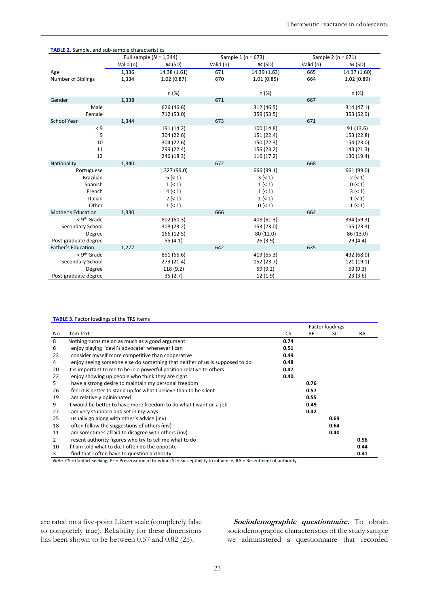| <b>TABLE 2.</b> Sample, and sub-sample characteristics |           |                           |                        |              |           |                        |  |
|--------------------------------------------------------|-----------|---------------------------|------------------------|--------------|-----------|------------------------|--|
|                                                        |           | Full sample $(N = 1,344)$ | Sample 1 ( $n = 673$ ) |              |           | Sample 2 ( $n = 671$ ) |  |
|                                                        | Valid (n) | M(SD)                     | Valid (n)              | M(SD)        | Valid (n) | M(SD)                  |  |
| Age                                                    | 1,336     | 14.38 (1.61)              | 671                    | 14.39 (1.63) | 665       | 14.37 (1.60)           |  |
| Number of Siblings                                     | 1,334     | 1.02(0.87)                | 670                    | 1.01(0.85)   | 664       | 1.02(0.89)             |  |
|                                                        |           |                           |                        |              |           |                        |  |
|                                                        |           | n (%)                     |                        | n (%)        |           | n(%)                   |  |
| Gender                                                 | 1,338     |                           | 671                    |              | 667       |                        |  |
| Male                                                   |           | 626 (46.6)                |                        | 312 (46.5)   |           | 314 (47.1)             |  |
| Female                                                 |           | 712 (53.0)                |                        | 359 (53.5)   |           | 353 (52.9)             |  |
| School Year                                            | 1,344     |                           | 673                    |              | 671       |                        |  |
| $\leq 9$                                               |           | 191 (14.2)                |                        | 100 (14.8)   |           | 91(13.6)               |  |
| 9                                                      |           | 304 (22.6)                |                        | 151 (22.4)   |           | 153 (22.8)             |  |
| 10                                                     |           | 304 (22.6)                |                        | 150 (22.3)   |           | 154 (23.0)             |  |
| 11                                                     |           | 299 (22.4)                |                        | 156 (23.2)   |           | 143 (21.3)             |  |
| 12                                                     |           | 246 (18.3)                |                        | 116 (17.2)   |           | 130 (19.4)             |  |
| Nationality                                            | 1,340     |                           | 672                    |              | 668       |                        |  |
| Portuguese                                             |           | 1,327 (99.0)              |                        | 666 (99.1)   |           | 661 (99.0)             |  |
| <b>Brazilian</b>                                       |           | 5 (< 1)                   |                        | 3 (< 1)      |           | 2( <sub>1</sub> )      |  |
| Spanish                                                |           | 1 (< 1)                   |                        | 1 (< 1)      |           | 0 (< 1)                |  |
| French                                                 |           | 4(< 1)                    |                        | 1 (< 1)      |           | 3 (< 1)                |  |
| Italian                                                |           | 2( <sub>1</sub> )         |                        | 1 (< 1)      |           | 1 (< 1)                |  |
| Other                                                  |           | 1 (< 1)                   |                        | 0 (< 1)      |           | 1 (< 1)                |  |
| Mother's Education                                     | 1,330     |                           | 666                    |              | 664       |                        |  |
| $<$ 9 <sup>th</sup> Grade                              |           | 802 (60.3)                |                        | 408 (61.3)   |           | 394 (59.3)             |  |
| Secondary School                                       |           | 308 (23.2)                |                        | 153 (23.0)   |           | 155 (23.3)             |  |
| Degree                                                 |           | 166 (12.5)                |                        | 80(12.0)     |           | 86 (13.0)              |  |
| Post-graduate degree                                   |           | 55 $(4.1)$                |                        | 26(3.9)      |           | 29(4.4)                |  |
| Father's Education                                     | 1,277     |                           | 642                    |              | 635       |                        |  |
| $<$ 9 <sup>th</sup> Grade                              |           | 851 (66.6)                |                        | 419 (65.3)   |           | 432 (68.0)             |  |
| Secondary School                                       |           | 273 (21.4)                |                        | 152 (23.7)   |           | 121 (19.1)             |  |
| Degree                                                 |           | 118 (9.2)                 |                        | 59 (9.2)     |           | 59 (9.3)               |  |
| Post-graduate degree                                   |           | 35(2.7)                   |                        | 12 (1.9)     |           | 23(3.6)                |  |

### **TABLE 3.** Factor loadings of the TRS items

|                |                                                                               | <b>Factor loadings</b> |      |      |           |
|----------------|-------------------------------------------------------------------------------|------------------------|------|------|-----------|
| No             | Item text                                                                     | <b>CS</b>              | PF   | SI   | <b>RA</b> |
| 8              | Nothing turns me on as much as a good argument                                | 0.74                   |      |      |           |
| 6              | I enjoy playing "devil's advocate" whenever I can                             | 0.51                   |      |      |           |
| 23             | I consider myself more competitive than cooperative                           | 0.49                   |      |      |           |
| 4              | I enjoy seeing someone else do something that neither of us is supposed to do | 0.48                   |      |      |           |
| 20             | It is important to me to be in a powerful position relative to others         | 0.47                   |      |      |           |
| 22             | I enjoy showing up people who think they are right                            | 0.40                   |      |      |           |
| 5              | I have a strong desire to maintain my personal freedom                        |                        | 0.76 |      |           |
| 26             | I feel it is better to stand up for what I believe than to be silent          |                        | 0.57 |      |           |
| 19             | I am relatively opinionated                                                   |                        | 0.55 |      |           |
| 9              | It would be better to have more freedom to do what I want on a job            |                        | 0.49 |      |           |
| 27             | I am very stubborn and set in my ways                                         |                        | 0.42 |      |           |
| 25             | I usually go along with other's advice (inv)                                  |                        |      | 0.69 |           |
| 18             | I often follow the suggestions of others (inv)                                |                        |      | 0.64 |           |
| 11             | I am sometimes afraid to disagree with others (inv)                           |                        |      | 0.40 |           |
| $\overline{2}$ | I resent authority figures who try to tell me what to do                      |                        |      |      | 0.56      |
| 10             | If I am told what to do, I often do the opposite                              |                        |      |      | 0.44      |
| 3              | I find that I often have to question authority                                |                        |      |      | 0.41      |

*Note.* CS = Conflict seeking; PF = Preservation of freedom; SI = Susceptibility to influence; RA = Resentment of authority

are rated on a five-point Likert scale (completely false to completely true). Reliability for these dimensions has been shown to be between 0.57 and 0.82 (25).

**Sociodemographic questionnaire.** To obtain sociodemographic characteristics of the study sample we administered a questionnaire that recorded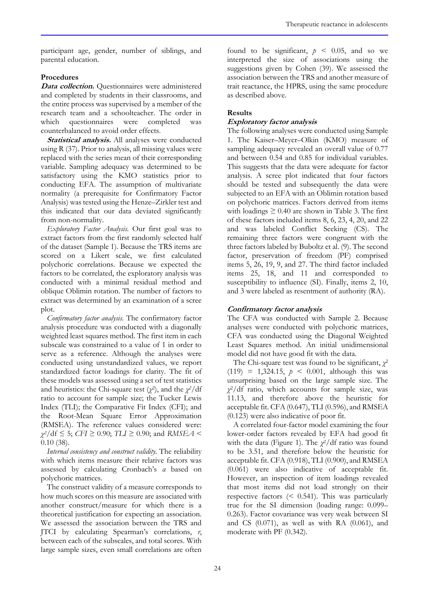participant age, gender, number of siblings, and parental education.

# **Procedures**

Data collection. Questionnaires were administered and completed by students in their classrooms, and the entire process was supervised by a member of the research team and a schoolteacher. The order in which questionnaires were completed was counterbalanced to avoid order effects.

**Statistical analysis.** All analyses were conducted using R (37). Prior to analysis, all missing values were replaced with the series mean of their corresponding variable. Sampling adequacy was determined to be satisfactory using the KMO statistics prior to conducting EFA. The assumption of multivariate normality (a prerequisite for Confirmatory Factor Analysis) was tested using the Henze–Zirkler test and this indicated that our data deviated significantly from non-normality.

*Exploratory Factor Analysis.* Our first goal was to extract factors from the first randomly selected half of the dataset (Sample 1). Because the TRS items are scored on a Likert scale, we first calculated polychoric correlations. Because we expected the factors to be correlated, the exploratory analysis was conducted with a minimal residual method and oblique Oblimin rotation. The number of factors to extract was determined by an examination of a scree plot.

*Confirmatory factor analysis.* The confirmatory factor analysis procedure was conducted with a diagonally weighted least squares method. The first item in each subscale was constrained to a value of 1 in order to serve as a reference. Although the analyses were conducted using unstandardized values, we report standardized factor loadings for clarity. The fit of these models was assessed using a set of test statistics and heuristics: the Chi-square test  $(\chi^2)$ , and the  $\chi^2$ /df ratio to account for sample size; the Tucker Lewis Index (TLI); the Comparative Fit Index (CFI); and the Root-Mean Square Error Approximation (RMSEA). The reference values considered were: *χ <sup>2</sup>*/df ≤ 5; *CFI* ≥ 0.90; *TLI* ≥ 0.90; and *RMSEA* < 0.10 (38).

*Internal consistency and construct validity.* The reliability with which items measure their relative factors was assessed by calculating Cronbach's *α* based on polychoric matrices.

The construct validity of a measure corresponds to how much scores on this measure are associated with another construct/measure for which there is a theoretical justification for expecting an association. We assessed the association between the TRS and JTCI by calculating Spearman's correlations, *r*, between each of the subscales, and total scores. With large sample sizes, even small correlations are often

found to be significant,  $p \leq 0.05$ , and so we interpreted the size of associations using the suggestions given by Cohen (39). We assessed the association between the TRS and another measure of trait reactance, the HPRS, using the same procedure as described above.

# **Results**

# **Exploratory factor analysis**

The following analyses were conducted using Sample 1. The Kaiser–Meyer–Olkin (KMO) measure of sampling adequacy revealed an overall value of 0.77 and between 0.54 and 0.85 for individual variables. This suggests that the data were adequate for factor analysis. A scree plot indicated that four factors should be tested and subsequently the data were subjected to an EFA with an Oblimin rotation based on polychoric matrices. Factors derived from items with loadings  $\geq 0.40$  are shown in Table 3. The first of these factors included items 8, 6, 23, 4, 20, and 22 and was labeled Conflict Seeking (CS). The remaining three factors were congruent with the three factors labeled by Buboltz et al. (9). The second factor, preservation of freedom (PF) comprised items 5, 26, 19, 9, and 27. The third factor included items 25, 18, and 11 and corresponded to susceptibility to influence (SI). Finally, items 2, 10, and 3 were labeled as resentment of authority (RA).

# **Confirmatory factor analysis**

The CFA was conducted with Sample 2. Because analyses were conducted with polychoric matrices, CFA was conducted using the Diagonal Weighted Least Squares method. An initial unidimensional model did not have good fit with the data.

The Chi-square test was found to be significant, *χ* 2  $(119) = 1,324.15, p \le 0.001,$  although this was unsurprising based on the large sample size. The *χ* <sup>2</sup>/df ratio, which accounts for sample size, was 11.13, and therefore above the heuristic for acceptable fit. CFA (0.647), TLI (0.596), and RMSEA (0.123) were also indicative of poor fit.

A correlated four-factor model examining the four lower-order factors revealed by EFA had good fit with the data (Figure 1). The *χ* <sup>2</sup>/df ratio was found to be 3.51, and therefore below the heuristic for acceptable fit. CFA (0.918), TLI (0.900), and RMSEA (0.061) were also indicative of acceptable fit. However, an inspection of item loadings revealed that most items did not load strongly on their respective factors (< 0.541). This was particularly true for the SI dimension (loading range: 0.099– 0.263). Factor covariance was very weak between SI and CS (0.071), as well as with RA (0.061), and moderate with PF (0.342).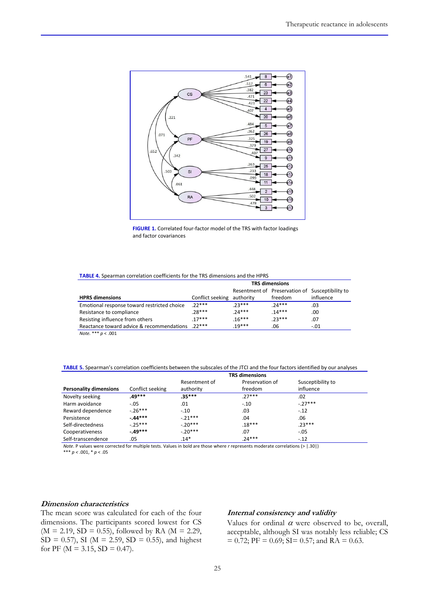



#### **TABLE 4.** Spearman correlation coefficients for the TRS dimensions and the HPRS

| <b>TRS dimensions</b> |                                                  |                            |                                                 |
|-----------------------|--------------------------------------------------|----------------------------|-------------------------------------------------|
|                       |                                                  |                            |                                                 |
|                       |                                                  | freedom                    | influence                                       |
| $22***$               | $.23***$                                         | $.24***$                   | .03                                             |
| $.28***$              | $.24***$                                         | $.14***$                   | .00                                             |
| $.17***$              | $.16***$                                         | $.23***$                   | .07                                             |
|                       | $.19***$                                         | .06                        | $-.01$                                          |
|                       | Reactance toward advice & recommendations .22*** | Conflict seeking authority | Resentment of Preservation of Susceptibility to |

*Note.* \*\*\* *p* < .001

### **TABLE 5.** Spearman's correlation coefficients between the subscales of the JTCI and the four factors identified by our analyses

|                               | <b>TRS dimensions</b> |               |                 |                   |  |
|-------------------------------|-----------------------|---------------|-----------------|-------------------|--|
|                               |                       | Resentment of | Preservation of | Susceptibility to |  |
| <b>Personality dimensions</b> | Conflict seeking      | authority     | freedom         | influence         |  |
| Novelty seeking               | .49***                | $.35***$      | $.27***$        | .02               |  |
| Harm avoidance                | $-.05$                | .01           | $-.10$          | $-27***$          |  |
| Reward dependence             | $-26***$              | $-.10$        | .03             | $-.12$            |  |
| Persistence                   | $-44***$              | $-21***$      | .04             | .06               |  |
| Self-directedness             | $-.25***$             | $-20***$      | $.18***$        | $.23***$          |  |
| Cooperativeness               | $-49***$              | $-.20***$     | .07             | $-.05$            |  |
| Self-transcendence            | .05                   | $.14*$        | $.24***$        | $-.12$            |  |
|                               |                       |               |                 |                   |  |

*Note*. P values were corrected for multiple tests. Values in bold are those where *r* represents moderate correlations (> |.30|) \*\*\* *p <* .001, \* *p* < .05

# **Dimension characteristics**

The mean score was calculated for each of the four dimensions. The participants scored lowest for CS  $(M = 2.19, SD = 0.55)$ , followed by RA  $(M = 2.29,$  $SD = 0.57$ , SI (M = 2.59, SD = 0.55), and highest for PF ( $M = 3.15$ , SD = 0.47).

# **Internal consistency and validity**

Values for ordinal  $\alpha$  were observed to be, overall, acceptable, although SI was notably less reliable; CS  $= 0.72$ ; PF = 0.69; SI= 0.57; and RA = 0.63.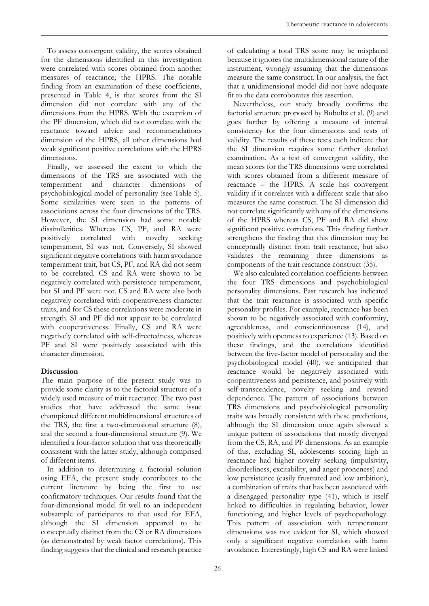To assess convergent validity, the scores obtained for the dimensions identified in this investigation were correlated with scores obtained from another measures of reactance; the HPRS. The notable finding from an examination of these coefficients, presented in Table 4, is that scores from the SI dimension did not correlate with any of the dimensions from the HPRS. With the exception of the PF dimension, which did not correlate with the reactance toward advice and recommendations dimension of the HPRS, all other dimensions had weak significant positive correlations with the HPRS dimensions.

Finally, we assessed the extent to which the dimensions of the TRS are associated with the temperament and character dimensions of psychobiological model of personality (see Table 5). Some similarities were seen in the patterns of associations across the four dimensions of the TRS. However, the SI dimension had some notable dissimilarities. Whereas CS, PF, and RA were positively correlated with novelty seeking temperament, SI was not. Conversely, SI showed significant negative correlations with harm avoidance temperament trait, but CS, PF, and RA did not seem to be correlated. CS and RA were shown to be negatively correlated with persistence temperament, but SI and PF were not. CS and RA were also both negatively correlated with cooperativeness character traits, and for CS these correlations were moderate in strength. SI and PF did not appear to be correlated with cooperativeness. Finally, CS and RA were negatively correlated with self-directedness, whereas PF and SI were positively associated with this character dimension.

# **Discussion**

The main purpose of the present study was to provide some clarity as to the factorial structure of a widely used measure of trait reactance. The two past studies that have addressed the same issue championed different multidimensional structures of the TRS, the first a two-dimensional structure (8), and the second a four-dimensional structure (9). We identified a four-factor solution that was theoretically consistent with the latter study, although comprised of different items.

In addition to determining a factorial solution using EFA, the present study contributes to the current literature by being the first to use confirmatory techniques. Our results found that the four-dimensional model fit well to an independent subsample of participants to that used for EFA, although the SI dimension appeared to be conceptually distinct from the CS or RA dimensions (as demonstrated by weak factor correlations). This finding suggests that the clinical and research practice

of calculating a total TRS score may be misplaced because it ignores the multidimensional nature of the instrument, wrongly assuming that the dimensions measure the same construct. In our analysis, the fact that a unidimensional model did not have adequate fit to the data corroborates this assertion.

Nevertheless, our study broadly confirms the factorial structure proposed by Buboltz et al. (9) and goes further by offering a measure of internal consistency for the four dimensions and tests of validity. The results of these tests each indicate that the SI dimension requires some further detailed examination. As a test of convergent validity, the mean scores for the TRS dimensions were correlated with scores obtained from a different measure of reactance – the HPRS. A scale has convergent validity if it correlates with a different scale that also measures the same construct. The SI dimension did not correlate significantly with any of the dimensions of the HPRS whereas CS, PF and RA did show significant positive correlations. This finding further strengthens the finding that this dimension may be conceptually distinct from trait reactance, but also validates the remaining three dimensions as components of the trait reactance construct (35).

We also calculated correlation coefficients between the four TRS dimensions and psychobiological personality dimensions. Past research has indicated that the trait reactance is associated with specific personality profiles. For example, reactance has been shown to be negatively associated with conformity, agreeableness, and conscientiousness (14), and positively with openness to experience (13). Based on these findings, and the correlations identified between the five-factor model of personality and the psychobiological model (40), we anticipated that reactance would be negatively associated with cooperativeness and persistence, and positively with self-transcendence, novelty seeking and reward dependence. The pattern of associations between TRS dimensions and psychobiological personality traits was broadly consistent with these predictions, although the SI dimension once again showed a unique pattern of associations that mostly diverged from the CS, RA, and PF dimensions. As an example of this, excluding SI, adolescents scoring high in reactance had higher novelty seeking (impulsivity, disorderliness, excitability, and anger proneness) and low persistence (easily frustrated and low ambition), a combination of traits that has been associated with a disengaged personality type (41), which is itself linked to difficulties in regulating behavior, lower functioning, and higher levels of psychopathology. This pattern of association with temperament dimensions was not evident for SI, which showed only a significant negative correlation with harm avoidance. Interestingly, high CS and RA were linked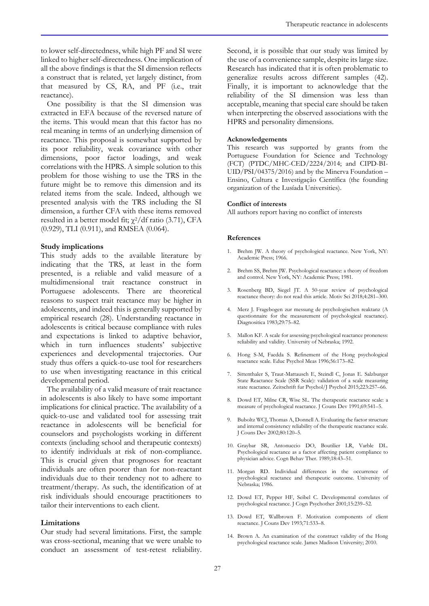to lower self-directedness, while high PF and SI were linked to higher self-directedness. One implication of all the above findings is that the SI dimension reflects a construct that is related, yet largely distinct, from that measured by CS, RA, and PF (i.e., trait reactance).

One possibility is that the SI dimension was extracted in EFA because of the reversed nature of the items. This would mean that this factor has no real meaning in terms of an underlying dimension of reactance. This proposal is somewhat supported by its poor reliability, weak covariance with other dimensions, poor factor loadings, and weak correlations with the HPRS. A simple solution to this problem for those wishing to use the TRS in the future might be to remove this dimension and its related items from the scale. Indeed, although we presented analysis with the TRS including the SI dimension, a further CFA with these items removed resulted in a better model fit;  $\chi^2$ /df ratio (3.71), CFA (0.929), TLI (0.911), and RMSEA (0.064).

### **Study implications**

This study adds to the available literature by indicating that the TRS, at least in the form presented, is a reliable and valid measure of a multidimensional trait reactance construct in Portuguese adolescents. There are theoretical reasons to suspect trait reactance may be higher in adolescents, and indeed this is generally supported by empirical research (28). Understanding reactance in adolescents is critical because compliance with rules and expectations is linked to adaptive behavior, which in turn influences students' subjective experiences and developmental trajectories. Our study thus offers a quick-to-use tool for researchers to use when investigating reactance in this critical developmental period.

The availability of a valid measure of trait reactance in adolescents is also likely to have some important implications for clinical practice. The availability of a quick-to-use and validated tool for assessing trait reactance in adolescents will be beneficial for counselors and psychologists working in different contexts (including school and therapeutic contexts) to identify individuals at risk of non-compliance. This is crucial given that prognoses for reactant individuals are often poorer than for non-reactant individuals due to their tendency not to adhere to treatment/therapy. As such, the identification of at risk individuals should encourage practitioners to tailor their interventions to each client.

### **Limitations**

Our study had several limitations. First, the sample was cross-sectional, meaning that we were unable to conduct an assessment of test-retest reliability. Second, it is possible that our study was limited by the use of a convenience sample, despite its large size. Research has indicated that it is often problematic to generalize results across different samples (42). Finally, it is important to acknowledge that the reliability of the SI dimension was less than acceptable, meaning that special care should be taken when interpreting the observed associations with the HPRS and personality dimensions.

### **Acknowledgements**

This research was supported by grants from the Portuguese Foundation for Science and Technology (FCT) (PTDC/MHC-CED/2224/2014; and CIPD-BI-UID/PSI/04375/2016) and by the Minerva Foundation – Ensino, Cultura e Investigação Científica (the founding organization of the Lusíada Universities).

### **Conflict of interests**

All authors report having no conflict of interests

#### **References**

- 1. Brehm JW. A theory of psychological reactance. New York, NY: Academic Press; 1966.
- 2. Brehm SS, Brehm JW. Psychological reactance: a theory of freedom and control. New York, NY: Academic Press; 1981.
- 3. Rosenberg BD, Siegel JT. A 50-year review of psychological reactance theory: do not read this article. Motiv Sci 2018;4:281–300.
- 4. Merz J. Fragebogen zur messung de psychologischen reaktanz (A questionnaire for the measurement of psychological reactance). Diagnositica 1983;29:75–82.
- 5. Mallon KF. A scale for assessing psychological reactance proneness: reliability and validity. University of Nebraska; 1992.
- 6. Hong S-M, Faedda S. Refinement of the Hong psychological reactance scale. Educ Psychol Meas 1996;56:173–82.
- 7. Sittenthaler S, Traut-Mattausch E, Steindl C, Jonas E. Salzburger State Reactance Scale (SSR Scale): validation of a scale measuring state reactance. Zeitschrift fur Psychol/J Psychol 2015;223:257–66.
- 8. Dowd ET, Milne CR, Wise SL. The therapeutic reactance scale: a measure of psychological reactance. J Couns Dev 1991;69:541–5.
- 9. Buboltz WCJ, Thomas A, Donnell A. Evaluating the factor structure and internal consistency reliability of the therapeutic reactance scale. J Couns Dev 2002;80:120–5.
- 10. Graybar SR, Antonuccio DO, Boutilier LR, Varble DL. Psychological reactance as a factor affecting patient compliance to physician advice. Cogn Behav Ther. 1989;18:43–51.
- 11. Morgan RD. Individual differences in the occurrence of psychological reactance and therapeutic outcome. University of Nebraska; 1986.
- 12. Dowd ET, Pepper HF, Seibel C. Developmental correlates of psychological reactance. J Cogn Psychother 2001;15:239–52.
- 13. Dowd ET, Wallbrown F. Motivation components of client reactance. J Couns Dev 1993;71:533–8.
- 14. Brown A. An examination of the construct validity of the Hong psychological reactance scale. James Madison University; 2010.